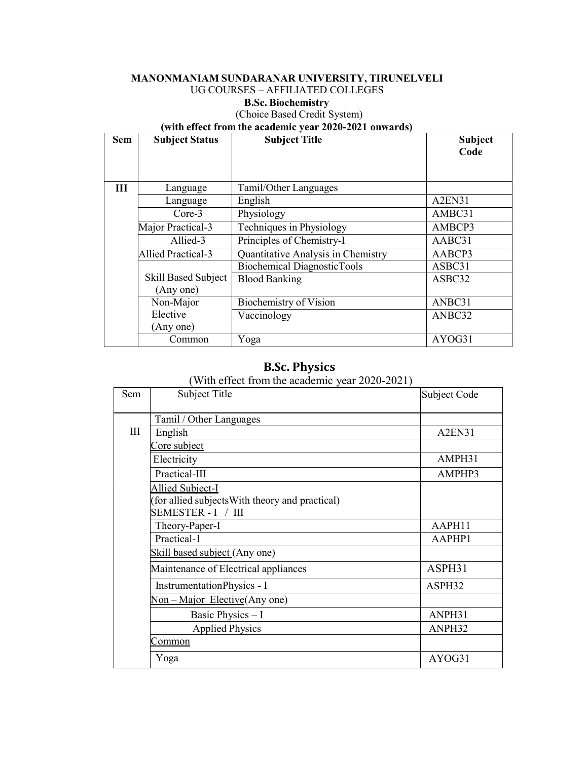#### **MANONMANIAM SUNDARANAR UNIVERSITY, TIRUNELVELI** UG COURSES – AFFILIATED COLLEGES

#### **B.Sc. Biochemistry**

### (Choice Based Credit System)

#### **(with effect from the academic year 2020-2021 onwards)**

| <b>Sem</b> | <b>Subject Status</b>      | <b>Subject Title</b>                | <b>Subject</b> |
|------------|----------------------------|-------------------------------------|----------------|
|            |                            |                                     | Code           |
|            |                            |                                     |                |
| III        | Language                   | Tamil/Other Languages               |                |
|            | Language                   | English                             | A2EN31         |
|            | Core-3                     | Physiology                          | AMBC31         |
|            | Major Practical-3          | Techniques in Physiology            | AMBCP3         |
|            | Allied-3                   | Principles of Chemistry-I           | AABC31         |
|            | <b>Allied Practical-3</b>  | Quantitative Analysis in Chemistry  | AABCP3         |
|            |                            | <b>Biochemical Diagnostic Tools</b> | ASBC31         |
|            | <b>Skill Based Subject</b> | <b>Blood Banking</b>                | ASBC32         |
|            | (Any one)                  |                                     |                |
|            | Non-Major                  | Biochemistry of Vision              | ANBC31         |
|            | Elective                   | Vaccinology                         | ANBC32         |
|            | (Any one)                  |                                     |                |
|            | Common                     | Yoga                                | AYOG31         |

# **B.Sc. Physics**

(With effect from the academic year 2020-2021)

| <b>Sem</b> | <b>Subject Title</b>                            | Subject Code |
|------------|-------------------------------------------------|--------------|
|            | Tamil / Other Languages                         |              |
| III        | English                                         | A2EN31       |
|            | Core subject                                    |              |
|            | Electricity                                     | AMPH31       |
|            | Practical-III                                   | AMPHP3       |
|            | <b>Allied Subject-I</b>                         |              |
|            | (for allied subjects With theory and practical) |              |
|            | SEMESTER - I / III                              |              |
|            | Theory-Paper-I                                  | AAPH11       |
|            | Practical-1                                     | AAPHP1       |
|            | Skill based subject (Any one)                   |              |
|            | Maintenance of Electrical appliances            | ASPH31       |
|            | InstrumentationPhysics - I                      | ASPH32       |
|            | Non – Major Elective (Any one)                  |              |
|            | Basic Physics - I                               | ANPH31       |
|            | <b>Applied Physics</b>                          | ANPH32       |
|            | <u>Common</u>                                   |              |
|            | Yoga                                            | AYOG31       |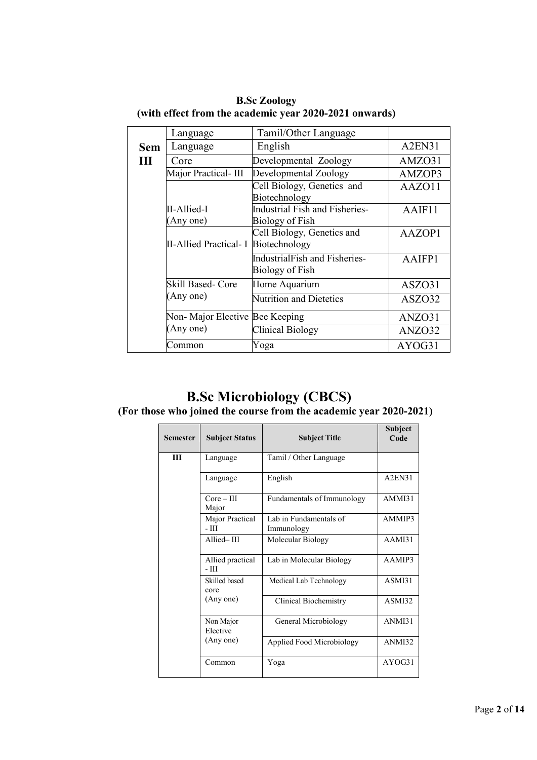|            | Language                       | Tamil/Other Language                                     |        |
|------------|--------------------------------|----------------------------------------------------------|--------|
| <b>Sem</b> | Language                       | English                                                  | A2EN31 |
| Ш          | Core                           | Developmental Zoology                                    | AMZO31 |
|            | Major Practical-III            | Developmental Zoology                                    | AMZOP3 |
|            |                                | Cell Biology, Genetics and<br>Biotechnology              | AAZO11 |
|            | II-Allied-I<br>(Any one)       | <b>Industrial Fish and Fisheries-</b><br>Biology of Fish | AAIF11 |
|            | <b>II-Allied Practical- I</b>  | Cell Biology, Genetics and<br>Biotechnology              | AAZOP1 |
|            |                                | <b>IndustrialFish and Fisheries-</b><br>Biology of Fish  | AAIFP1 |
|            | Skill Based- Core              | Home Aquarium                                            | ASZO31 |
|            | (Any one)                      | <b>Nutrition and Dietetics</b>                           | ASZO32 |
|            | Non-Major Elective Bee Keeping |                                                          | ANZO31 |
|            | (Any one)                      | Clinical Biology                                         | ANZO32 |
|            | Common                         | Yoga                                                     | AYOG31 |

**B.Sc Zoology (with effect from the academic year 2020-2021 onwards)**

# **B.Sc Microbiology (CBCS)**

#### **(For those who joined the course from the academic year 2020-2021)**

| <b>Semester</b> | <b>Subject Status</b>      | <b>Subject Title</b>                 | Subject<br>Code                 |
|-----------------|----------------------------|--------------------------------------|---------------------------------|
| Ш               | Language                   | Tamil / Other Language               |                                 |
|                 | Language                   | English                              | A <sub>2</sub> EN <sub>31</sub> |
|                 | $Core - III$<br>Major      | Fundamentals of Immunology           | AMMI31                          |
|                 | Major Practical<br>- III   | Lab in Fundamentals of<br>Immunology | AMMIP3                          |
|                 | Allied-III                 | Molecular Biology                    | AAMI31                          |
|                 | Allied practical<br>$-III$ | Lab in Molecular Biology             | AAMIP3                          |
|                 | Skilled based<br>core      | Medical Lab Technology               | ASMI31                          |
|                 | (Any one)                  | Clinical Biochemistry                | ASMI32                          |
|                 | Non Major<br>Elective      | General Microbiology                 | ANMI31                          |
|                 | (Any one)                  | Applied Food Microbiology            | ANMI32                          |
|                 | Common                     | Yoga                                 | AYOG31                          |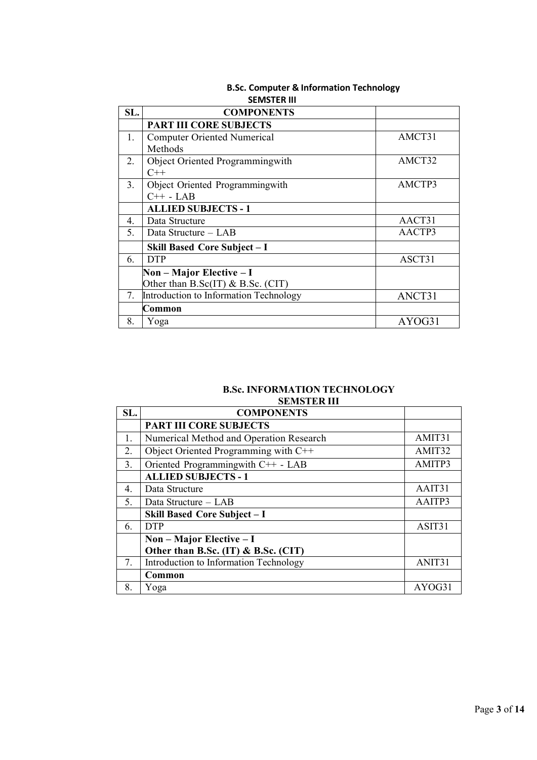|                | SEIVISTER III                          |        |
|----------------|----------------------------------------|--------|
| SL.            | <b>COMPONENTS</b>                      |        |
|                | <b>PART III CORE SUBJECTS</b>          |        |
| 1.             | <b>Computer Oriented Numerical</b>     | AMCT31 |
|                | Methods                                |        |
| 2.             | Object Oriented Programmingwith        | AMCT32 |
|                | $C++$                                  |        |
| 3 <sub>1</sub> | Object Oriented Programmingwith        | AMCTP3 |
|                | $C++$ - LAB                            |        |
|                | <b>ALLIED SUBJECTS - 1</b>             |        |
| 4.             | Data Structure                         | AACT31 |
| 5.             | Data Structure – LAB                   | AACTP3 |
|                | Skill Based Core Subject - I           |        |
| 6.             | <b>DTP</b>                             | ASCT31 |
|                | $Non-Major$ Elective – I               |        |
|                | Other than B.Sc(IT) & B.Sc. (CIT)      |        |
| 7.             | Introduction to Information Technology | ANCT31 |
|                | Common                                 |        |
| 8.             | Yoga                                   | AYOG31 |

#### **B.Sc. Computer & Information Technology SEMSTER III**

#### **B.Sc. INFORMATION TECHNOLOGY SEMSTER III**

| SL.              | <b>COMPONENTS</b>                       |        |
|------------------|-----------------------------------------|--------|
|                  | <b>PART III CORE SUBJECTS</b>           |        |
| 1.               | Numerical Method and Operation Research | AMIT31 |
| 2.               | Object Oriented Programming with C++    | AMIT32 |
| 3.               | Oriented Programmingwith C++ - LAB      | AMITP3 |
|                  | <b>ALLIED SUBJECTS - 1</b>              |        |
| $\overline{4}$ . | Data Structure                          | AAIT31 |
| 5.               | Data Structure - LAB                    | AAITP3 |
|                  | Skill Based Core Subject - I            |        |
| 6.               | <b>DTP</b>                              | ASIT31 |
|                  | $Non-Major$ Elective – I                |        |
|                  | Other than B.Sc. (IT) & B.Sc. (CIT)     |        |
| 7.               | Introduction to Information Technology  | ANIT31 |
|                  | Common                                  |        |
| 8.               | Yoga                                    | AYOG31 |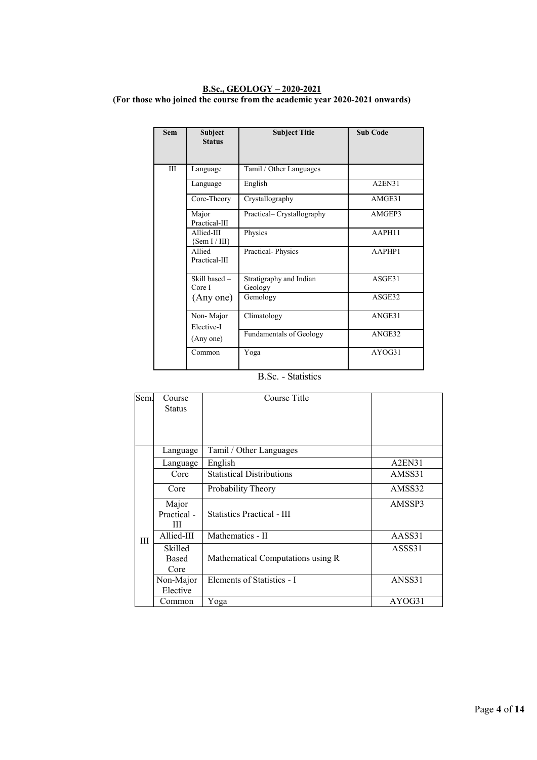#### **B.Sc., GEOLOGY – 2020-2021 (For those who joined the course from the academic year 2020-2021 onwards)**

| <b>Sem</b> | Subject<br><b>Status</b>      | <b>Subject Title</b>               | <b>Sub Code</b> |
|------------|-------------------------------|------------------------------------|-----------------|
| Ш          | Language                      | Tamil / Other Languages            |                 |
|            | Language                      | English                            | A2EN31          |
|            | Core-Theory                   | Crystallography                    | AMGE31          |
|            | Major<br>Practical-III        | Practical– Crystallography         | AMGEP3          |
|            | Allied-III<br>${Sem I / III}$ | Physics                            | AAPH11          |
|            | Allied<br>Practical-III       | Practical-Physics                  | AAPHP1          |
|            | Skill based -<br>Core I       | Stratigraphy and Indian<br>Geology | ASGE31          |
|            | (Any one)                     | Gemology                           | ASGE32          |
|            | Non-Major<br>Elective-I       | Climatology                        | ANGE31          |
|            | (Any one)                     | <b>Fundamentals of Geology</b>     | ANGE32          |
|            | Common                        | Yoga                               | AYOG31          |

#### B.Sc. - Statistics

| Sem. | Course<br><b>Status</b>   | Course Title                      |        |
|------|---------------------------|-----------------------------------|--------|
|      | Language                  | Tamil / Other Languages           |        |
|      | Language                  | English                           | A2EN31 |
|      | Core                      | <b>Statistical Distributions</b>  | AMSS31 |
|      | Core                      | Probability Theory                | AMSS32 |
|      | Major<br>Practical -<br>Ш | <b>Statistics Practical - III</b> | AMSSP3 |
| Ш    | Allied-III                | Mathematics - II                  | AASS31 |
|      | Skilled<br>Based<br>Core  | Mathematical Computations using R | ASSS31 |
|      | Non-Major<br>Elective     | Elements of Statistics - I        | ANSS31 |
|      | Common                    | Yoga                              | AYOG31 |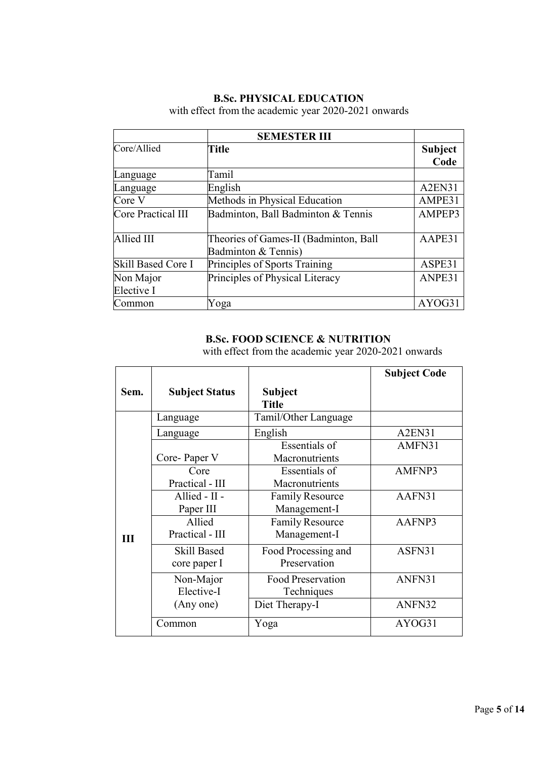## **B.Sc. PHYSICAL EDUCATION**

with effect from the academic year 2020-2021 onwards

|                    | <b>SEMESTER III</b>                   |                                 |
|--------------------|---------------------------------------|---------------------------------|
| Core/Allied        | <b>Title</b>                          | <b>Subject</b>                  |
|                    |                                       | Code                            |
| Language           | Tamil                                 |                                 |
| Language           | English                               | A <sub>2</sub> EN <sub>31</sub> |
| Core V             | Methods in Physical Education         | AMPE31                          |
| Core Practical III | Badminton, Ball Badminton & Tennis    | AMPEP3                          |
|                    |                                       |                                 |
| Allied III         | Theories of Games-II (Badminton, Ball | AAPE31                          |
|                    | Badminton & Tennis)                   |                                 |
| Skill Based Core I | Principles of Sports Training         | ASPE31                          |
| Non Major          | Principles of Physical Literacy       | ANPE31                          |
| Elective I         |                                       |                                 |
| Common             | Yoga                                  | AYOG31                          |

## **B.Sc. FOOD SCIENCE & NUTRITION**

with effect from the academic year 2020-2021 onwards

|      |                                    |                                        | <b>Subject Code</b> |
|------|------------------------------------|----------------------------------------|---------------------|
| Sem. | <b>Subject Status</b>              | Subject<br><b>Title</b>                |                     |
|      | Language                           | Tamil/Other Language                   |                     |
|      | Language                           | English                                | A2EN31              |
|      | Core-Paper V                       | Essentials of<br>Macronutrients        | AMFN31              |
|      | Core<br>Practical - III            | <b>Essentials of</b><br>Macronutrients | AMFNP3              |
|      | Allied - II -<br>Paper III         | <b>Family Resource</b><br>Management-I | AAFN31              |
| III  | Allied<br>Practical - III          | <b>Family Resource</b><br>Management-I | AAFNP3              |
|      | <b>Skill Based</b><br>core paper I | Food Processing and<br>Preservation    | ASFN31              |
|      | Non-Major<br>Elective-I            | <b>Food Preservation</b><br>Techniques | ANFN31              |
|      | (Any one)                          | Diet Therapy-I                         | ANFN32              |
|      | Common                             | Yoga                                   | AYOG31              |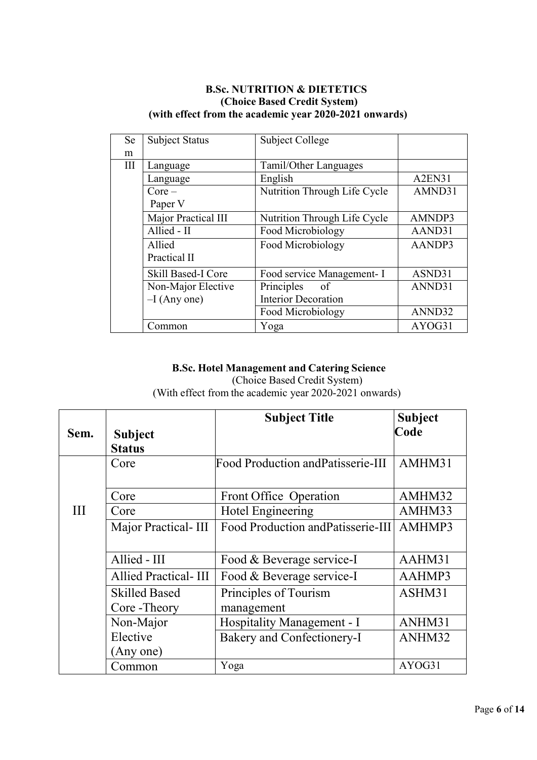## **B.Sc. NUTRITION & DIETETICS (Choice Based Credit System) (with effect from the academic year 2020-2021 onwards)**

| Se  | <b>Subject Status</b> | <b>Subject College</b>       |                                 |
|-----|-----------------------|------------------------------|---------------------------------|
| m   |                       |                              |                                 |
| III | Language              | Tamil/Other Languages        |                                 |
|     | Language              | English                      | A <sub>2</sub> EN <sub>31</sub> |
|     | $Core-$               | Nutrition Through Life Cycle | AMND31                          |
|     | Paper V               |                              |                                 |
|     | Major Practical III   | Nutrition Through Life Cycle | AMNDP3                          |
|     | Allied - II           | Food Microbiology            | AAND31                          |
|     | Allied                | Food Microbiology            | AANDP3                          |
|     | Practical II          |                              |                                 |
|     | Skill Based-I Core    | Food service Management- I   | ASND31                          |
|     | Non-Major Elective    | Principles<br>of             | ANND31                          |
|     | $-I$ (Any one)        | <b>Interior Decoration</b>   |                                 |
|     |                       | Food Microbiology            | ANND32                          |
|     | Common                | Yoga                         | AYOG31                          |

### **B.Sc. Hotel Management and Catering Science** (Choice Based Credit System) (With effect from the academic year 2020-2021 onwards)

|      |                             | <b>Subject Title</b>                      | <b>Subject</b> |
|------|-----------------------------|-------------------------------------------|----------------|
| Sem. | <b>Subject</b>              |                                           | Code           |
|      | <b>Status</b>               |                                           |                |
|      | Core                        | <b>Food Production and Patisserie-III</b> | AMHM31         |
|      |                             |                                           |                |
|      | Core                        | Front Office Operation                    | AMHM32         |
| III  | Core                        | Hotel Engineering                         | AMHM33         |
|      | Major Practical-III         | Food Production and Patisserie-III        | AMHMP3         |
|      |                             |                                           |                |
|      | Allied - III                | Food & Beverage service-I                 | AAHM31         |
|      | <b>Allied Practical-III</b> | Food & Beverage service-I                 | AAHMP3         |
|      | <b>Skilled Based</b>        | Principles of Tourism                     | ASHM31         |
|      | Core - Theory               | management                                |                |
|      | Non-Major                   | Hospitality Management - I                | ANHM31         |
|      | Elective                    | Bakery and Confectionery-I                | ANHM32         |
|      | (Any one)                   |                                           |                |
|      | Common                      | Yoga                                      | AYOG31         |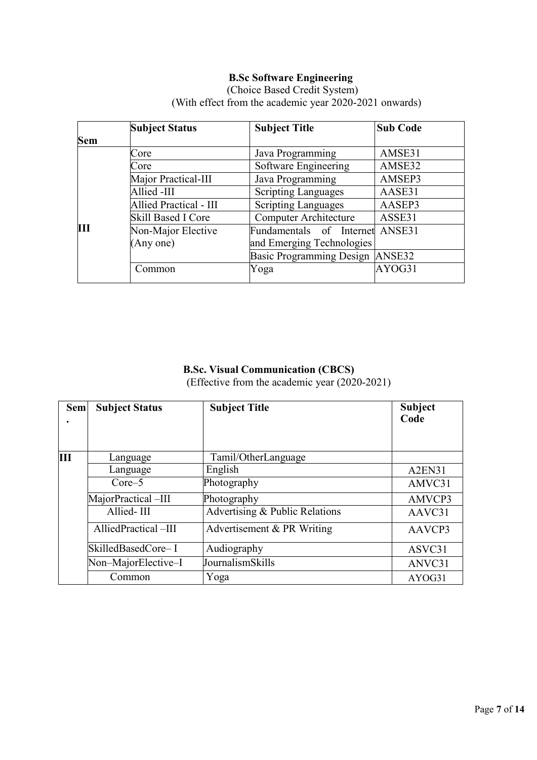# **B.Sc Software Engineering**

|                | <b>Subject Status</b>         | <b>Subject Title</b>            | <b>Sub Code</b> |
|----------------|-------------------------------|---------------------------------|-----------------|
| <b>Sem</b>     |                               |                                 |                 |
|                | Core                          | Java Programming                | AMSE31          |
|                | Core                          | Software Engineering            | AMSE32          |
|                | Major Practical-III           | Java Programming                | AMSEP3          |
|                | Allied -III                   | <b>Scripting Languages</b>      | AASE31          |
|                | <b>Allied Practical - III</b> | <b>Scripting Languages</b>      | AASEP3          |
|                | Skill Based I Core            | <b>Computer Architecture</b>    | ASSE31          |
| $\mathbf{III}$ | Non-Major Elective            | Fundamentals of Internet ANSE31 |                 |
|                | (Any one)                     | and Emerging Technologies       |                 |
|                |                               | Basic Programming Design ANSE32 |                 |
|                | Common                        | Yoga                            | AYOG31          |

(Choice Based Credit System) (With effect from the academic year 2020-2021 onwards)

## **B.Sc. Visual Communication (CBCS)** (Effective from the academic year (2020-2021)

| <b>Sem</b> | <b>Subject Status</b> | <b>Subject Title</b>           | <b>Subject</b><br>Code |
|------------|-----------------------|--------------------------------|------------------------|
| Ш          | Language              | Tamil/OtherLanguage            |                        |
|            | Language              | English                        | A2EN31                 |
|            | $Core-5$              | Photography                    | AMVC31                 |
|            | MajorPractical-III    | Photography                    | AMVCP3                 |
|            | Allied-III            | Advertising & Public Relations | AAVC31                 |
|            | AlliedPractical-III   | Advertisement $& PR$ Writing   | AAVCP3                 |
|            | SkilledBasedCore-I    | Audiography                    | ASVC31                 |
|            | Non-MajorElective-I   | JournalismSkills               | ANVC31                 |
|            | Common                | Yoga                           | AYOG31                 |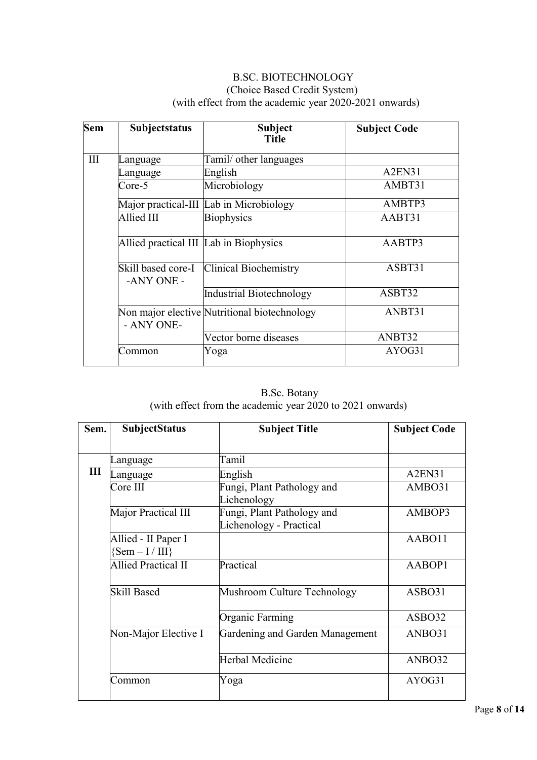## B.SC. BIOTECHNOLOGY (Choice Based Credit System) (with effect from the academic year 2020-2021 onwards)

| <b>Sem</b> | Subjectstatus                          | <b>Subject</b><br><b>Title</b>               | <b>Subject Code</b>             |
|------------|----------------------------------------|----------------------------------------------|---------------------------------|
| III        | anguage                                | Tamil/ other languages                       |                                 |
|            | anguage                                | English                                      | A <sub>2</sub> EN <sub>31</sub> |
|            | $Core-5$                               | Microbiology                                 | AMBT31                          |
|            |                                        | Major practical-III Lab in Microbiology      | AMBTP3                          |
|            | Allied III                             | <b>Biophysics</b>                            | AABT31                          |
|            | Allied practical III Lab in Biophysics |                                              | AABTP3                          |
|            | Skill based core-I<br>-ANY ONE -       | <b>Clinical Biochemistry</b>                 | ASBT31                          |
|            |                                        | Industrial Biotechnology                     | ASBT32                          |
|            | - ANY ONE-                             | Non major elective Nutritional biotechnology | ANBT31                          |
|            |                                        | Vector borne diseases                        | ANBT32                          |
|            | Common                                 | Yoga                                         | AYOG31                          |

B.Sc. Botany (with effect from the academic year 2020 to 2021 onwards)

| Sem. | <b>SubjectStatus</b>                       | <b>Subject Title</b>                                  | <b>Subject Code</b> |
|------|--------------------------------------------|-------------------------------------------------------|---------------------|
|      |                                            |                                                       |                     |
|      | anguage                                    | Tamil                                                 |                     |
| Ш    | Language                                   | English                                               | A2EN31              |
|      | Core III                                   | Fungi, Plant Pathology and                            | AMBO31              |
|      |                                            | Lichenology                                           |                     |
|      | Major Practical III                        | Fungi, Plant Pathology and<br>Lichenology - Practical | AMBOP3              |
|      | Allied - II Paper I<br>$\{Sem - I / III\}$ |                                                       | AABO11              |
|      | <b>Allied Practical II</b>                 | Practical                                             | AABOP1              |
|      | <b>Skill Based</b>                         | Mushroom Culture Technology                           | ASBO31              |
|      |                                            | Organic Farming                                       | ASBO32              |
|      | Non-Major Elective I                       | Gardening and Garden Management                       | ANBO31              |
|      |                                            | Herbal Medicine                                       | ANBO32              |
|      | Common                                     | Yoga                                                  | AYOG31              |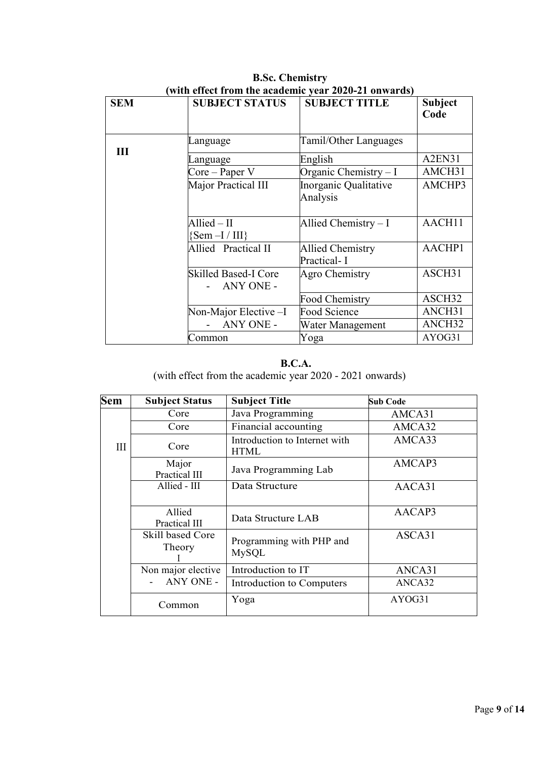| <b>SEM</b> | <b>SUBJECT STATUS</b>                        | <b>SUBJECT TITLE</b>                   | <b>Subject</b><br>Code |
|------------|----------------------------------------------|----------------------------------------|------------------------|
| Ш          | Language                                     | <b>Tamil/Other Languages</b>           |                        |
|            | Language                                     | English                                | A2EN31                 |
|            | $Core - Paper V$                             | Organic Chemistry $-I$                 | AMCH31                 |
|            | Major Practical III                          | Inorganic Qualitative<br>Analysis      | AMCHP3                 |
|            | $\text{Allied} - \text{II}$<br>${Sem-I/III}$ | Allied Chemistry - I                   | AACH11                 |
|            | Allied Practical II                          | <b>Allied Chemistry</b><br>Practical-I | AACHP1                 |
|            | <b>Skilled Based-I Core</b><br>ANY ONE -     | Agro Chemistry                         | ASCH31                 |
|            |                                              | Food Chemistry                         | ASCH32                 |
|            | Non-Major Elective -I                        | Food Science                           | ANCH31                 |
|            | ANY ONE -                                    | Water Management                       | ANCH32                 |
|            | Common                                       | Yoga                                   | AYOG31                 |

**B.Sc. Chemistry (with effect from the academic year 2020-21 onwards)**

#### **B.C.A.**

(with effect from the academic year 2020 - 2021 onwards)

| <b>Sem</b> | <b>Subject Status</b>             | <b>Subject Title</b>                         | <b>Sub Code</b> |
|------------|-----------------------------------|----------------------------------------------|-----------------|
|            | Core                              | Java Programming                             | AMCA31          |
|            | Core                              | Financial accounting                         | AMCA32          |
| III        | Core                              | Introduction to Internet with<br><b>HTML</b> | AMCA33          |
|            | Major<br>Practical III            | Java Programming Lab                         | AMCAP3          |
|            | Allied - III                      | Data Structure                               | AACA31          |
|            | Allied<br>Practical III           | Data Structure LAB                           | AACAP3          |
|            | <b>Skill based Core</b><br>Theory | Programming with PHP and<br><b>MySQL</b>     | ASCA31          |
|            | Non major elective                | Introduction to IT                           | ANCA31          |
|            | ANY ONE -                         | Introduction to Computers                    | ANCA32          |
|            | Common                            | Yoga                                         | AYOG31          |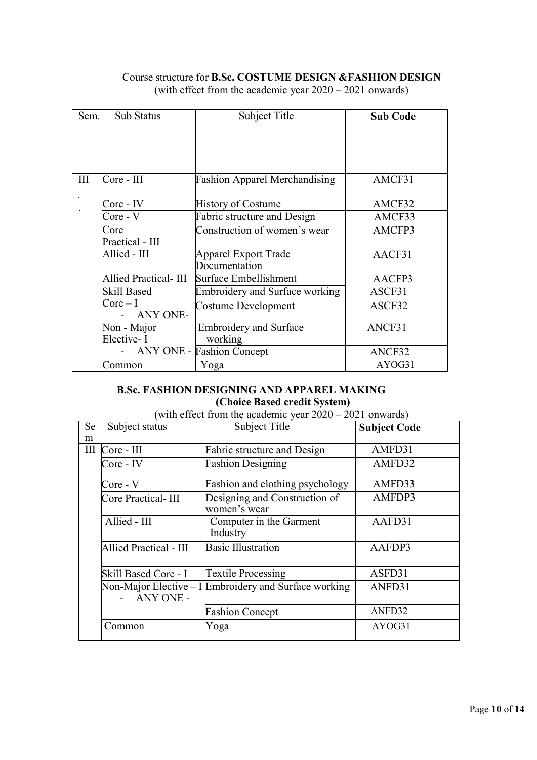### Course structure for **B.Sc. COSTUME DESIGN &FASHION DESIGN** (with effect from the academic year 2020 – 2021 onwards)

| Sem. | Sub Status            | Subject Title                         | <b>Sub Code</b> |
|------|-----------------------|---------------------------------------|-----------------|
|      |                       |                                       |                 |
|      |                       |                                       |                 |
|      |                       |                                       |                 |
|      |                       |                                       |                 |
| III  | Core - III            | <b>Fashion Apparel Merchandising</b>  | AMCF31          |
|      |                       |                                       |                 |
|      | Core - IV             | <b>History of Costume</b>             | AMCF32          |
|      | Core - V              | Fabric structure and Design           | AMCF33          |
|      | Core                  | Construction of women's wear          | AMCFP3          |
|      | Practical - III       |                                       |                 |
|      | Allied - III          | Apparel Export Trade                  | AACF31          |
|      |                       | Documentation                         |                 |
|      | Allied Practical- III | Surface Embellishment                 | AACFP3          |
|      | <b>Skill Based</b>    | <b>Embroidery and Surface working</b> | ASCF31          |
|      | $Core-I$              | Costume Development                   | ASCF32          |
|      | ANY ONE-              |                                       |                 |
|      | Non - Major           | <b>Embroidery and Surface</b>         | ANCF31          |
|      | Elective-I            | working                               |                 |
|      |                       | <b>ANY ONE - Fashion Concept</b>      | ANCF32          |
|      | Common                | Yoga                                  | AYOG31          |

## **B.Sc. FASHION DESIGNING AND APPAREL MAKING (Choice Based credit System)**

## (with effect from the academic year 2020 – 2021 onwards)

| <b>Se</b><br>m | Subject status                | Subject Title                                         | <b>Subject Code</b> |
|----------------|-------------------------------|-------------------------------------------------------|---------------------|
|                | III Core - III                | Fabric structure and Design                           | AMFD31              |
|                | Core - IV                     | <b>Fashion Designing</b>                              | AMFD32              |
|                | Core - V                      | Fashion and clothing psychology                       | AMFD33              |
|                | Core Practical-III            | Designing and Construction of<br>women's wear         | AMFDP3              |
|                | Allied - III                  | Computer in the Garment<br>Industry                   | AAFD31              |
|                | <b>Allied Practical - III</b> | <b>Basic Illustration</b>                             | AAFDP3              |
|                | Skill Based Core - I          | <b>Textile Processing</b>                             | ASFD31              |
|                | ANY ONE -                     | Non-Major Elective – I Embroidery and Surface working | ANFD31              |
|                |                               | <b>Fashion Concept</b>                                | ANFD32              |
|                | Common                        | Yoga                                                  | AYOG31              |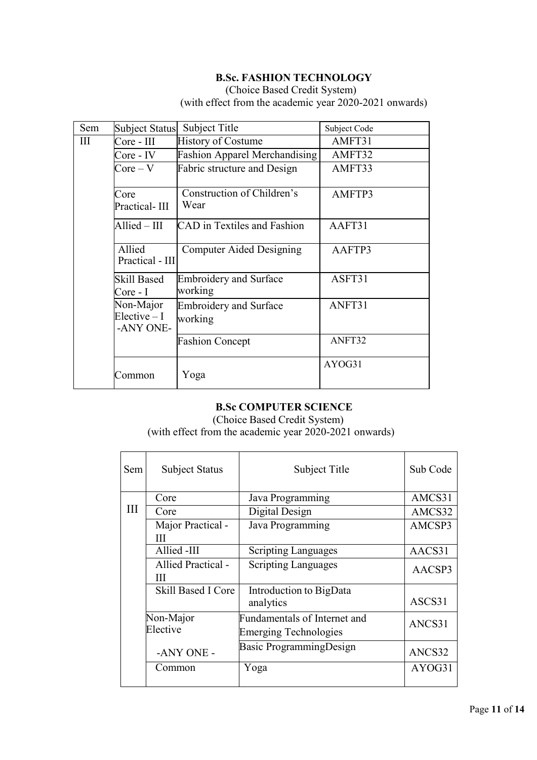## **B.Sc. FASHION TECHNOLOGY**

(Choice Based Credit System) (with effect from the academic year 2020-2021 onwards)

| Sem | <b>Subject Status</b>                    | Subject Title                            | Subject Code |
|-----|------------------------------------------|------------------------------------------|--------------|
| Ш   | Core - III                               | <b>History of Costume</b>                | AMFT31       |
|     | Core - IV                                | <b>Fashion Apparel Merchandising</b>     | AMFT32       |
|     | $Core - V$                               | Fabric structure and Design              | AMFT33       |
|     | Core<br>Practical-III                    | Construction of Children's<br>Wear       | AMFTP3       |
|     | $\text{Allied}-\text{III}$               | <b>CAD</b> in Textiles and Fashion       | AAFT31       |
|     | Allied<br>Practical - III                | Computer Aided Designing                 | AAFTP3       |
|     | <b>Skill Based</b><br>Core - I           | <b>Embroidery and Surface</b><br>working | ASFT31       |
|     | Non-Major<br>$Electric - I$<br>-ANY ONE- | <b>Embroidery and Surface</b><br>working | ANFT31       |
|     |                                          | <b>Fashion Concept</b>                   | ANFT32       |
|     | Common                                   | Yoga                                     | AYOG31       |

### **B.Sc COMPUTER SCIENCE**

(Choice Based Credit System) (with effect from the academic year 2020-2021 onwards)

| Sem | <b>Subject Status</b> | Subject Title                       | Sub Code |
|-----|-----------------------|-------------------------------------|----------|
|     | Core                  | Java Programming                    | AMCS31   |
| Ш   | Core                  | Digital Design                      | AMCS32   |
|     | Major Practical -     | Java Programming                    | AMCSP3   |
|     | Ш                     |                                     |          |
|     | Allied -III           | <b>Scripting Languages</b>          | AACS31   |
|     | Allied Practical -    | <b>Scripting Languages</b>          | AACSP3   |
|     | Ш                     |                                     |          |
|     | Skill Based I Core    | Introduction to BigData             |          |
|     |                       | analytics                           | ASCS31   |
|     | Non-Major             | <b>Fundamentals of Internet and</b> | ANCS31   |
|     | Elective              | <b>Emerging Technologies</b>        |          |
|     | -ANY ONE -            | Basic ProgrammingDesign             | ANCS32   |
|     | Common                | Yoga                                | AYOG31   |
|     |                       |                                     |          |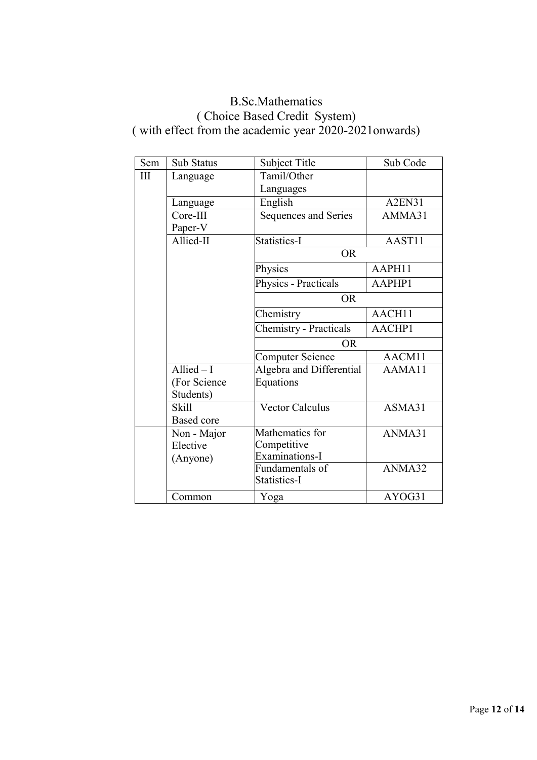# B.Sc.Mathematics ( Choice Based Credit System) ( with effect from the academic year 2020-2021onwards)

| Sem | <b>Sub Status</b> | <b>Subject Title</b>          | Sub Code |
|-----|-------------------|-------------------------------|----------|
| III | Language          | Tamil/Other                   |          |
|     |                   | Languages                     |          |
|     | Language          | English                       | A2EN31   |
|     | Core-III          | Sequences and Series          | AMMA31   |
|     | Paper-V           |                               |          |
|     | Allied-II         | Statistics-I                  | AAST11   |
|     |                   | <b>OR</b>                     |          |
|     |                   | Physics                       | AAPH11   |
|     |                   | Physics - Practicals          | AAPHP1   |
|     |                   | <b>OR</b>                     |          |
|     |                   | Chemistry                     | AACH11   |
|     |                   | <b>Chemistry - Practicals</b> | AACHP1   |
|     |                   | <b>OR</b>                     |          |
|     |                   | <b>Computer Science</b>       | AACM11   |
|     | Allied $-I$       | Algebra and Differential      | AAMA11   |
|     | (For Science      | <b>Equations</b>              |          |
|     | Students)         |                               |          |
|     | <b>Skill</b>      | <b>Vector Calculus</b>        | ASMA31   |
|     | <b>Based core</b> |                               |          |
|     | Non - Major       | Mathematics for               | ANMA31   |
|     | Elective          | Competitive                   |          |
|     | (Anyone)          | Examinations-I                |          |
|     |                   | Fundamentals of               | ANMA32   |
|     |                   | Statistics-I                  |          |
|     | Common            | Yoga                          | AYOG31   |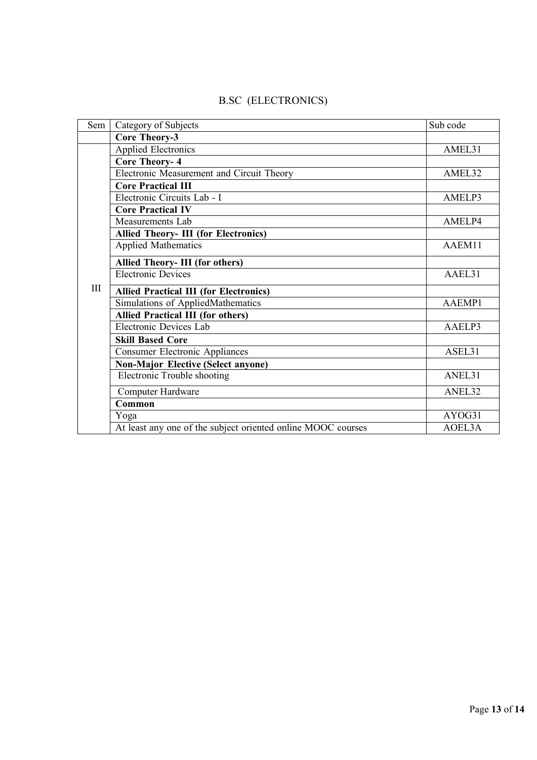| Sem | Category of Subjects                                         | Sub code |
|-----|--------------------------------------------------------------|----------|
|     | <b>Core Theory-3</b>                                         |          |
|     | <b>Applied Electronics</b>                                   | AMEL31   |
|     | <b>Core Theory-4</b>                                         |          |
|     | Electronic Measurement and Circuit Theory                    | AMEL32   |
|     | <b>Core Practical III</b>                                    |          |
|     | Electronic Circuits Lab - I                                  | AMELP3   |
|     | <b>Core Practical IV</b>                                     |          |
|     | Measurements Lab                                             | AMELP4   |
|     | <b>Allied Theory- III (for Electronics)</b>                  |          |
|     | Applied Mathematics                                          | AAEM11   |
|     | <b>Allied Theory- III (for others)</b>                       |          |
|     | <b>Electronic Devices</b>                                    | AAEL31   |
| III | <b>Allied Practical III (for Electronics)</b>                |          |
|     | Simulations of AppliedMathematics                            | AAEMP1   |
|     | <b>Allied Practical III (for others)</b>                     |          |
|     | Electronic Devices Lab                                       | AAELP3   |
|     | <b>Skill Based Core</b>                                      |          |
|     | <b>Consumer Electronic Appliances</b>                        | ASEL31   |
|     | <b>Non-Major Elective (Select anyone)</b>                    |          |
|     | Electronic Trouble shooting                                  | ANEL31   |
|     | Computer Hardware                                            | ANEL32   |
|     | Common                                                       |          |
|     | Yoga                                                         | AYOG31   |
|     | At least any one of the subject oriented online MOOC courses | AOEL3A   |

# B.SC (ELECTRONICS)